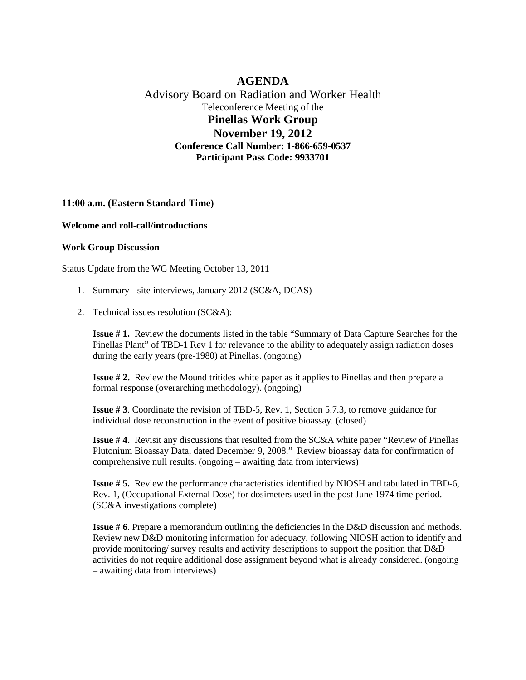## **AGENDA** Advisory Board on Radiation and Worker Health

Teleconference Meeting of the **Pinellas Work Group November 19, 2012 Conference Call Number: 1-866-659-0537**

**Participant Pass Code: 9933701**

## **11:00 a.m. (Eastern Standard Time)**

## **Welcome and roll-call/introductions**

## **Work Group Discussion**

Status Update from the WG Meeting October 13, 2011

- 1. Summary site interviews, January 2012 (SC&A, DCAS)
- 2. Technical issues resolution (SC&A):

**Issue # 1.** Review the documents listed in the table "Summary of Data Capture Searches for the Pinellas Plant" of TBD-1 Rev 1 for relevance to the ability to adequately assign radiation doses during the early years (pre-1980) at Pinellas. (ongoing)

**Issue # 2.** Review the Mound tritides white paper as it applies to Pinellas and then prepare a formal response (overarching methodology). (ongoing)

**Issue # 3**. Coordinate the revision of TBD-5, Rev. 1, Section 5.7.3, to remove guidance for individual dose reconstruction in the event of positive bioassay. (closed)

**Issue #4.** Revisit any discussions that resulted from the SC&A white paper "Review of Pinellas" Plutonium Bioassay Data, dated December 9, 2008." Review bioassay data for confirmation of comprehensive null results. (ongoing – awaiting data from interviews)

**Issue # 5.** Review the performance characteristics identified by NIOSH and tabulated in TBD-6, Rev. 1, (Occupational External Dose) for dosimeters used in the post June 1974 time period. (SC&A investigations complete)

**Issue #6**. Prepare a memorandum outlining the deficiencies in the D&D discussion and methods. Review new D&D monitoring information for adequacy, following NIOSH action to identify and provide monitoring/ survey results and activity descriptions to support the position that D&D activities do not require additional dose assignment beyond what is already considered. (ongoing – awaiting data from interviews)